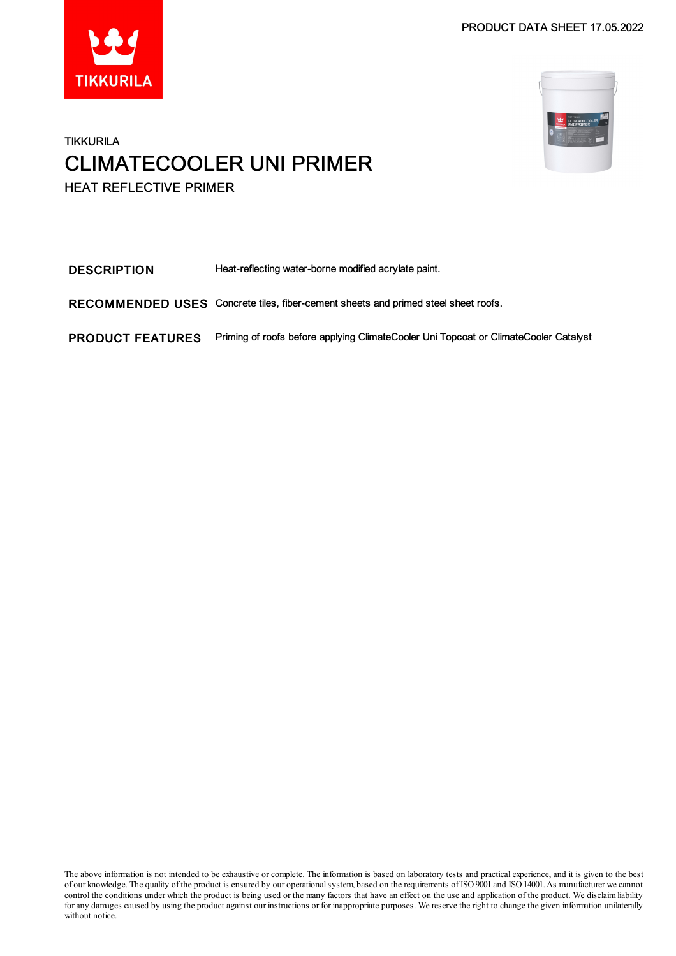



### **TIKKURILA** CLIMATECOOLER UNI PRIMER HEAT REFLECTIVE PRIMER

DESCRIPTION Heat-reflecting water-borne modified acrylate paint. RECOMMENDED USES Concrete tiles, fiber-cement sheets and primed steel sheet roofs. PRODUCT FEATURES Priming of roofs before applying ClimateCooler Uni Topcoat or ClimateCooler Catalyst

The above information is not intended to be exhaustive or complete. The information is based on laboratory tests and practical experience, and it is given to the best of our knowledge. The quality of the product is ensured by our operationalsystem, based on the requirements of ISO9001 and ISO14001.As manufacturer we cannot control the conditions under which the product is being used or the many factors that have an effect on the use and application of the product. We disclaimliability for any damages caused by using the product against our instructions or for inappropriate purposes. We reserve the right to change the given information unilaterally without notice.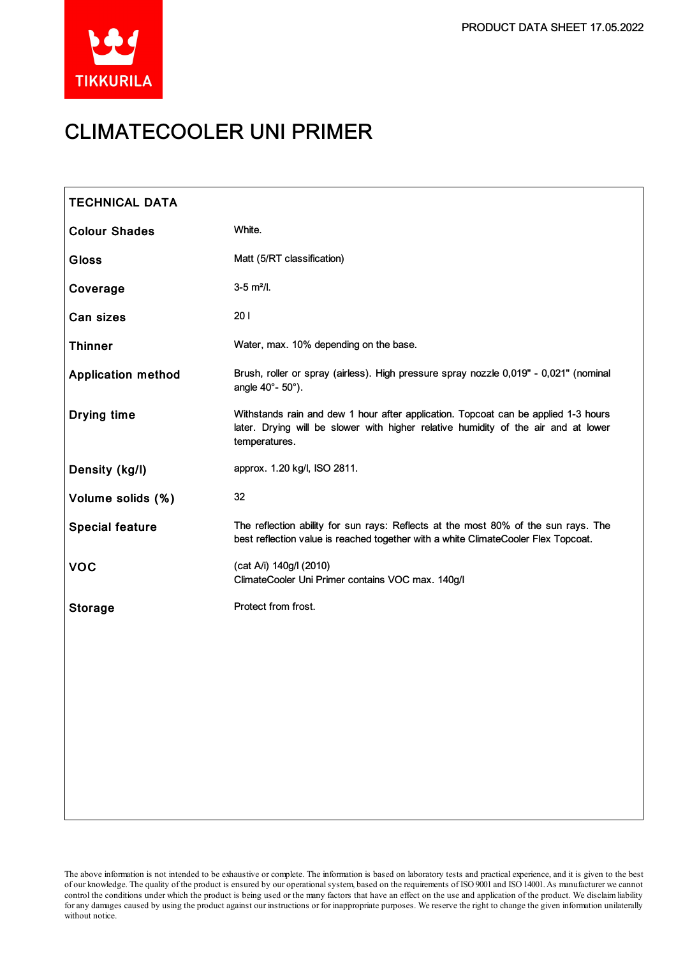

# CLIMATECOOLER UNI PRIMER

| <b>TECHNICAL DATA</b>     |                                                                                                                                                                                           |
|---------------------------|-------------------------------------------------------------------------------------------------------------------------------------------------------------------------------------------|
| <b>Colour Shades</b>      | White.                                                                                                                                                                                    |
| <b>Gloss</b>              | Matt (5/RT classification)                                                                                                                                                                |
| Coverage                  | $3-5$ m <sup>2</sup> /l.                                                                                                                                                                  |
| Can sizes                 | 201                                                                                                                                                                                       |
| <b>Thinner</b>            | Water, max. 10% depending on the base.                                                                                                                                                    |
| <b>Application method</b> | Brush, roller or spray (airless). High pressure spray nozzle 0,019" - 0,021" (nominal<br>angle 40°- 50°).                                                                                 |
| Drying time               | Withstands rain and dew 1 hour after application. Topcoat can be applied 1-3 hours<br>later. Drying will be slower with higher relative humidity of the air and at lower<br>temperatures. |
| Density (kg/l)            | approx. 1.20 kg/l, ISO 2811.                                                                                                                                                              |
| Volume solids (%)         | 32                                                                                                                                                                                        |
| <b>Special feature</b>    | The reflection ability for sun rays: Reflects at the most 80% of the sun rays. The<br>best reflection value is reached together with a white ClimateCooler Flex Topcoat.                  |
| <b>VOC</b>                | (cat A/i) 140g/l (2010)<br>ClimateCooler Uni Primer contains VOC max. 140g/l                                                                                                              |
| <b>Storage</b>            | Protect from frost.                                                                                                                                                                       |
|                           |                                                                                                                                                                                           |
|                           |                                                                                                                                                                                           |
|                           |                                                                                                                                                                                           |
|                           |                                                                                                                                                                                           |
|                           |                                                                                                                                                                                           |
|                           |                                                                                                                                                                                           |
|                           |                                                                                                                                                                                           |

The above information is not intended to be exhaustive or complete. The information is based on laboratory tests and practical experience, and it is given to the best of our knowledge. The quality of the product is ensured by our operationalsystem, based on the requirements of ISO9001 and ISO14001.As manufacturer we cannot control the conditions under which the product is being used or the many factors that have an effect on the use and application of the product. We disclaimliability forany damages caused by using the product against our instructions or for inappropriate purposes. We reserve the right to change the given information unilaterally without notice.